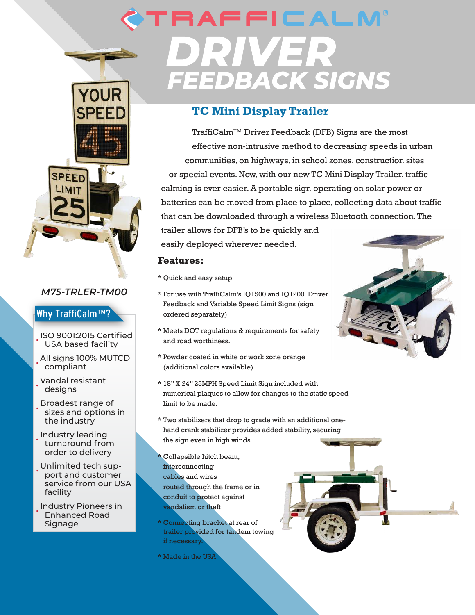

#### *M75-TRLER-TM00*

### Why TraffiCalm™?

- ISO 9001:2015 Certified USA based facility
- All signs 100% MUTCD compliant
- Vandal resistant designs
- Broadest range of sizes and options in the industry
- Industry leading turnaround from order to delivery
- Unlimited tech support and customer service from our USA facility
- Industry Pioneers in Enhanced Road **Signage**

# **RAFFICALM** VER FEEDBACK SIGNS

## **TC Mini Display Trailer**

TraffiCalm™ Driver Feedback (DFB) Signs are the most effective non-intrusive method to decreasing speeds in urban communities, on highways, in school zones, construction sites or special events. Now, with our new TC Mini Display Trailer, traffic calming is ever easier. A portable sign operating on solar power or batteries can be moved from place to place, collecting data about traffic that can be downloaded through a wireless Bluetooth connection. The

trailer allows for DFB's to be quickly and easily deployed wherever needed.

#### **Features:**

- \* Quick and easy setup
- \* For use with TraffiCalm's IQ1500 and IQ1200 Driver Feedback and Variable Speed Limit Signs (sign ordered separately)
- \* Meets DOT regulations & requirements for safety and road worthiness.
- \* Powder coated in white or work zone orange (additional colors available)
- \* 18" X 24" 25MPH Speed Limit Sign included with numerical plaques to allow for changes to the static speed limit to be made.
- \* Two stabilizers that drop to grade with an additional onehand crank stabilizer provides added stability, securing the sign even in high winds
- Collapsible hitch beam, interconnecting cables and wires routed through the frame or in conduit to protect against vandalism or theft
- \* Connecting bracket at rear of trailer provided for tandem towing if necessary.
- \* Made in the USA